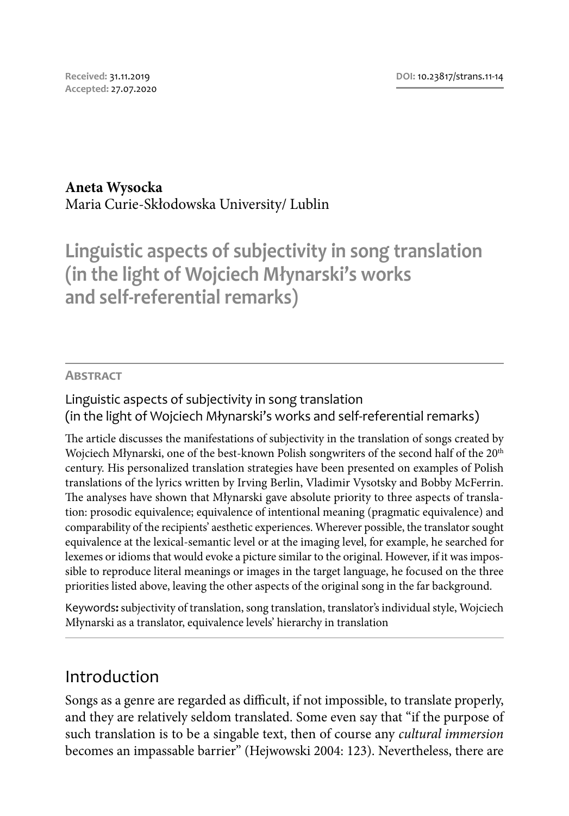#### **Aneta Wysocka**

Maria Curie-Skłodowska University/ Lublin

**Linguistic aspects of subjectivity in song translation (in the light of Wojciech Młynarski's works and self-referential remarks)**

#### **Abstract**

### Linguistic aspects of subjectivity in song translation (in the light of Wojciech Młynarski's works and self-referential remarks)

The article discusses the manifestations of subjectivity in the translation of songs created by Wojciech Młynarski, one of the best-known Polish songwriters of the second half of the 20<sup>th</sup> century. His personalized translation strategies have been presented on examples of Polish translations of the lyrics written by Irving Berlin, Vladimir Vysotsky and Bobby McFerrin. The analyses have shown that Młynarski gave absolute priority to three aspects of translation: prosodic equivalence; equivalence of intentional meaning (pragmatic equivalence) and comparability of the recipients' aesthetic experiences. Wherever possible, the translator sought equivalence at the lexical-semantic level or at the imaging level, for example, he searched for lexemes or idioms that would evoke a picture similar to the original. However, if it was impossible to reproduce literal meanings or images in the target language, he focused on the three priorities listed above, leaving the other aspects of the original song in the far background.

Keywords**:**subjectivity of translation, song translation, translator's individual style, Wojciech Młynarski as a translator, equivalence levels' hierarchy in translation

## Introduction

Songs as a genre are regarded as difficult, if not impossible, to translate properly, and they are relatively seldom translated. Some even say that "if the purpose of such translation is to be a singable text, then of course any *cultural immersion* becomes an impassable barrier" (Hejwowski 2004: 123). Nevertheless, there are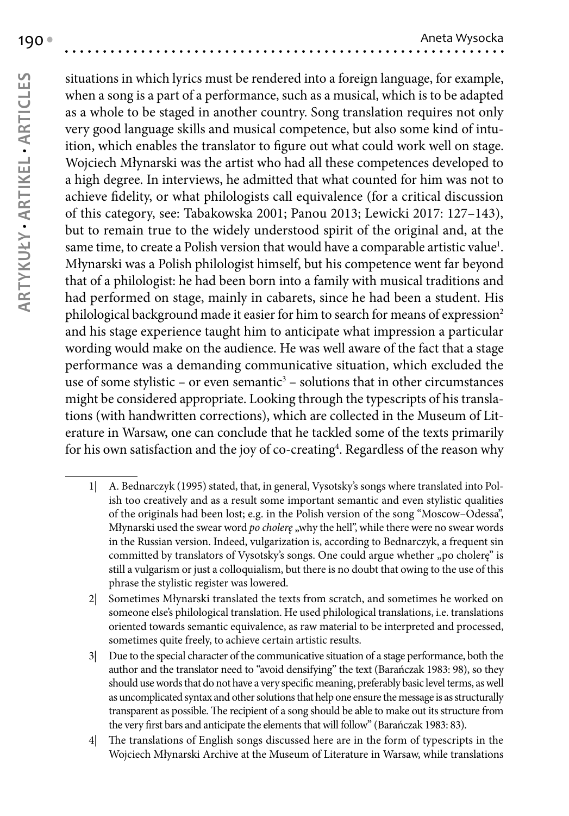situations in which lyrics must be rendered into a foreign language, for example, when a song is a part of a performance, such as a musical, which is to be adapted as a whole to be staged in another country. Song translation requires not only very good language skills and musical competence, but also some kind of intuition, which enables the translator to figure out what could work well on stage. Wojciech Młynarski was the artist who had all these competences developed to a high degree. In interviews, he admitted that what counted for him was not to achieve fidelity, or what philologists call equivalence (for a critical discussion of this category, see: Tabakowska 2001; Panou 2013; Lewicki 2017: 127–143), but to remain true to the widely understood spirit of the original and, at the same time, to create a Polish version that would have a comparable artistic value<sup>1</sup>. Młynarski was a Polish philologist himself, but his competence went far beyond that of a philologist: he had been born into a family with musical traditions and had performed on stage, mainly in cabarets, since he had been a student. His philological background made it easier for him to search for means of expression<sup>2</sup> and his stage experience taught him to anticipate what impression a particular wording would make on the audience. He was well aware of the fact that a stage performance was a demanding communicative situation, which excluded the use of some stylistic – or even semantic<sup>3</sup> – solutions that in other circumstances might be considered appropriate. Looking through the typescripts of his translations (with handwritten corrections), which are collected in the Museum of Literature in Warsaw, one can conclude that he tackled some of the texts primarily for his own satisfaction and the joy of co-creating<sup>4</sup>. Regardless of the reason why

- 1| A. Bednarczyk (1995) stated, that, in general, Vysotsky's songs where translated into Polish too creatively and as a result some important semantic and even stylistic qualities of the originals had been lost; e.g. in the Polish version of the song "Moscow–Odessa", Młynarski used the swear word *po cholerę* "why the hell", while there were no swear words in the Russian version. Indeed, vulgarization is, according to Bednarczyk, a frequent sin committed by translators of Vysotsky's songs. One could argue whether "po cholere" is still a vulgarism or just a colloquialism, but there is no doubt that owing to the use of this phrase the stylistic register was lowered.
- 2| Sometimes Młynarski translated the texts from scratch, and sometimes he worked on someone else's philological translation. He used philological translations, i.e. translations oriented towards semantic equivalence, as raw material to be interpreted and processed, sometimes quite freely, to achieve certain artistic results.
- 3| Due to the special character of the communicative situation of a stage performance, both the author and the translator need to "avoid densifying" the text (Barańczak 1983: 98), so they should use words that do not have a very specific meaning, preferably basic level terms, as well as uncomplicated syntax and other solutions that help one ensure the message is as structurally transparent as possible. The recipient of a song should be able to make out its structure from the very first bars and anticipate the elements that will follow" (Barańczak 1983: 83).
- 4| The translations of English songs discussed here are in the form of typescripts in the Wojciech Młynarski Archive at the Museum of Literature in Warsaw, while translations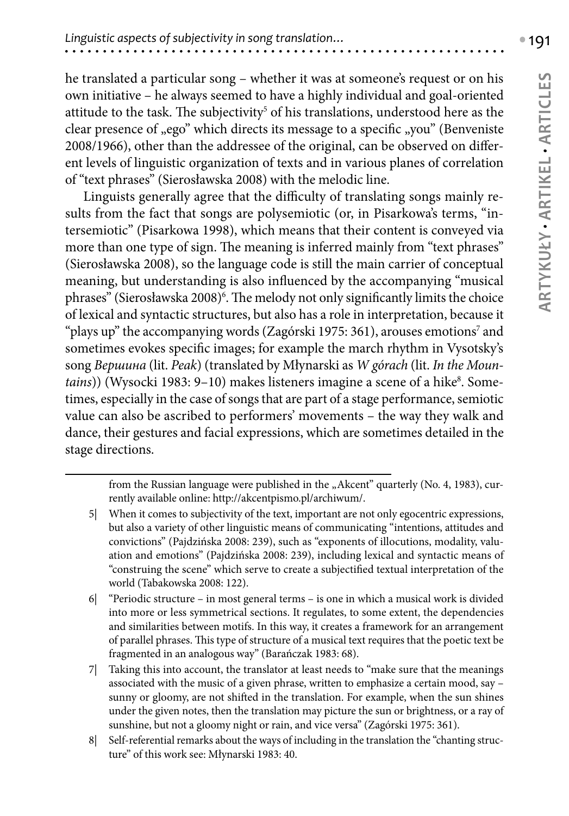he translated a particular song – whether it was at someone's request or on his own initiative – he always seemed to have a highly individual and goal-oriented attitude to the task. The subjectivity $^5$  of his translations, understood here as the clear presence of "ego" which directs its message to a specific "you" (Benveniste 2008/1966), other than the addressee of the original, can be observed on different levels of linguistic organization of texts and in various planes of correlation of "text phrases" (Sierosławska 2008) with the melodic line.

Linguists generally agree that the difficulty of translating songs mainly results from the fact that songs are polysemiotic (or, in Pisarkowa's terms, "intersemiotic" (Pisarkowa 1998), which means that their content is conveyed via more than one type of sign. The meaning is inferred mainly from "text phrases" (Sierosławska 2008), so the language code is still the main carrier of conceptual meaning, but understanding is also influenced by the accompanying "musical phrases" (Sierosławska 2008)<sup>6</sup>. The melody not only significantly limits the choice of lexical and syntactic structures, but also has a role in interpretation, because it "plays up" the accompanying words (Zagórski 1975: 361), arouses emotions<sup>7</sup> and sometimes evokes specific images; for example the march rhythm in Vysotsky's song *Вершина* (lit. *Peak*) (translated by Młynarski as *W górach* (lit. *In the Moun*tains)) (Wysocki 1983: 9–10) makes listeners imagine a scene of a hike<sup>8</sup>. Sometimes, especially in the case of songs that are part of a stage performance, semiotic value can also be ascribed to performers' movements – the way they walk and dance, their gestures and facial expressions, which are sometimes detailed in the stage directions.

8| Self-referential remarks about the ways of including in the translation the "chanting structure" of this work see: Młynarski 1983: 40.

from the Russian language were published in the "Akcent" quarterly (No. 4, 1983), currently available online:<http://akcentpismo.pl/archiwum/.>

<sup>5|</sup> When it comes to subjectivity of the text, important are not only egocentric expressions, but also a variety of other linguistic means of communicating "intentions, attitudes and convictions" (Pajdzińska 2008: 239), such as "exponents of illocutions, modality, valuation and emotions" (Pajdzińska 2008: 239), including lexical and syntactic means of "construing the scene" which serve to create a subjectified textual interpretation of the world (Tabakowska 2008: 122).

<sup>6|</sup> "Periodic structure – in most general terms – is one in which a musical work is divided into more or less symmetrical sections. It regulates, to some extent, the dependencies and similarities between motifs. In this way, it creates a framework for an arrangement of parallel phrases. This type of structure of a musical text requires that the poetic text be fragmented in an analogous way" (Barańczak 1983: 68).

<sup>7|</sup> Taking this into account, the translator at least needs to "make sure that the meanings associated with the music of a given phrase, written to emphasize a certain mood, say – sunny or gloomy, are not shifted in the translation. For example, when the sun shines under the given notes, then the translation may picture the sun or brightness, or a ray of sunshine, but not a gloomy night or rain, and vice versa" (Zagórski 1975: 361).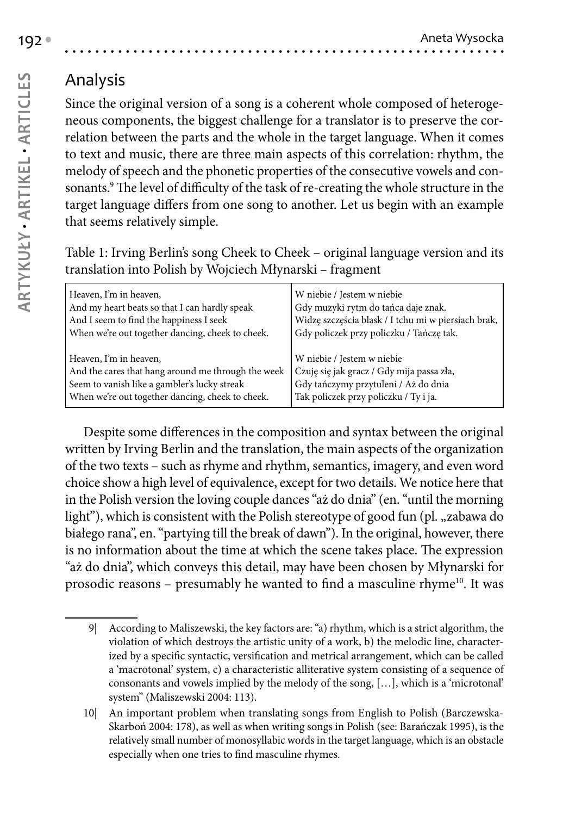# Analysis

Since the original version of a song is a coherent whole composed of heterogeneous components, the biggest challenge for a translator is to preserve the correlation between the parts and the whole in the target language. When it comes to text and music, there are three main aspects of this correlation: rhythm, the melody of speech and the phonetic properties of the consecutive vowels and consonants.<sup>9</sup> The level of difficulty of the task of re-creating the whole structure in the target language differs from one song to another. Let us begin with an example that seems relatively simple.

Table 1: Irving Berlin's song Cheek to Cheek – original language version and its translation into Polish by Wojciech Młynarski – fragment

| Heaven, I'm in heaven,                             | W niebie / Jestem w niebie                          |
|----------------------------------------------------|-----------------------------------------------------|
| And my heart beats so that I can hardly speak      | Gdy muzyki rytm do tańca daje znak.                 |
| And I seem to find the happiness I seek            | Widzę szczęścia blask / I tchu mi w piersiach brak, |
| When we're out together dancing, cheek to cheek.   | Gdy policzek przy policzku / Tańczę tak.            |
| Heaven, I'm in heaven,                             | W niebie / Jestem w niebie                          |
| And the cares that hang around me through the week | Czuję się jak gracz / Gdy mija passa zła,           |
| Seem to vanish like a gambler's lucky streak       | Gdy tańczymy przytuleni / Aż do dnia                |
| When we're out together dancing, cheek to cheek.   | Tak policzek przy policzku / Ty i ja.               |

Despite some differences in the composition and syntax between the original written by Irving Berlin and the translation, the main aspects of the organization of the two texts – such as rhyme and rhythm, semantics, imagery, and even word choice show a high level of equivalence, except for two details. We notice here that in the Polish version the loving couple dances "aż do dnia" (en. "until the morning light"), which is consistent with the Polish stereotype of good fun (pl., zabawa do białego rana", en. "partying till the break of dawn"). In the original, however, there is no information about the time at which the scene takes place. The expression "aż do dnia", which conveys this detail, may have been chosen by Młynarski for prosodic reasons – presumably he wanted to find a masculine rhyme<sup>10</sup>. It was

<sup>9|</sup> According to Maliszewski, the key factors are: "a) rhythm, which is a strict algorithm, the violation of which destroys the artistic unity of a work, b) the melodic line, characterized by a specific syntactic, versification and metrical arrangement, which can be called a 'macrotonal' system, c) a characteristic alliterative system consisting of a sequence of consonants and vowels implied by the melody of the song, […], which is a 'microtonal' system" (Maliszewski 2004: 113).

<sup>10|</sup> An important problem when translating songs from English to Polish (Barczewska-Skarboń 2004: 178), as well as when writing songs in Polish (see: Barańczak 1995), is the relatively small number of monosyllabic words in the target language, which is an obstacle especially when one tries to find masculine rhymes.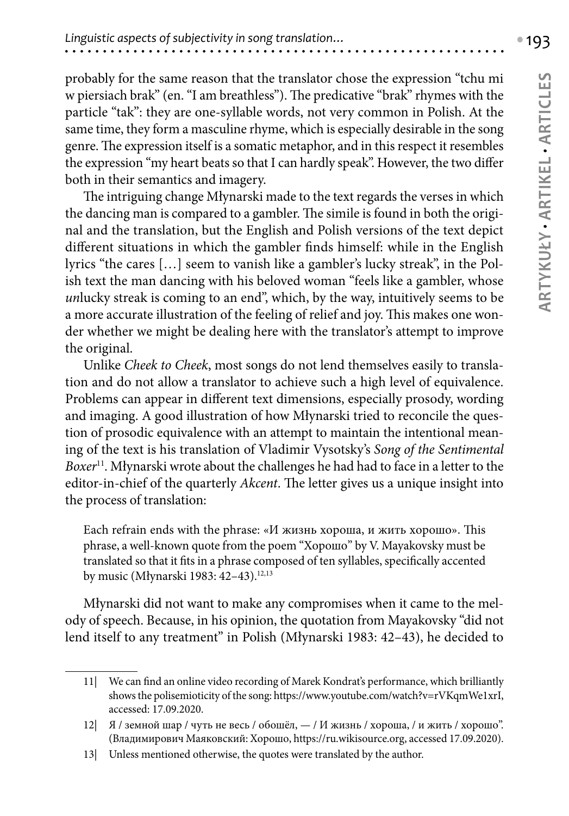probably for the same reason that the translator chose the expression "tchu mi w piersiach brak" (en. "I am breathless"). The predicative "brak" rhymes with the particle "tak": they are one-syllable words, not very common in Polish. At the same time, they form a masculine rhyme, which is especially desirable in the song genre. The expression itself is a somatic metaphor, and in this respect it resembles the expression "my heart beats so that I can hardly speak". However, the two differ both in their semantics and imagery.

The intriguing change Młynarski made to the text regards the verses in which the dancing man is compared to a gambler. The simile is found in both the original and the translation, but the English and Polish versions of the text depict different situations in which the gambler finds himself: while in the English lyrics "the cares […] seem to vanish like a gambler's lucky streak", in the Polish text the man dancing with his beloved woman "feels like a gambler, whose *un*lucky streak is coming to an end", which, by the way, intuitively seems to be a more accurate illustration of the feeling of relief and joy. This makes one wonder whether we might be dealing here with the translator's attempt to improve the original.

Unlike *Cheek to Cheek*, most songs do not lend themselves easily to translation and do not allow a translator to achieve such a high level of equivalence. Problems can appear in different text dimensions, especially prosody, wording and imaging. A good illustration of how Młynarski tried to reconcile the question of prosodic equivalence with an attempt to maintain the intentional meaning of the text is his translation of Vladimir Vysotsky's *Song of the Sentimental Boxer*11. Młynarski wrote about the challenges he had had to face in a letter to the editor-in-chief of the quarterly *Akcent*. The letter gives us a unique insight into the process of translation:

Each refrain ends with the phrase: «И жизнь хороша, и жить хорошо». This phrase, a well-known quote from the poem "Хорошо" by V. Mayakovsky must be translated so that it fits in a phrase composed of ten syllables, specifically accented by music (Młynarski 1983: 42-43).<sup>12,13</sup>

Młynarski did not want to make any compromises when it came to the melody of speech. Because, in his opinion, the quotation from Mayakovsky "did not lend itself to any treatment" in Polish (Młynarski 1983: 42–43), he decided to

<sup>11|</sup> We can find an online video recording of Marek Kondrat's performance, which brilliantly shows the polisemioticity of the song:<https://www.youtube.com/watch?v=rVKqmWe1xrI>, accessed: 17.09.2020.

<sup>12|</sup> Я / земной шар / чуть не весь / обошёл, — / И жизнь / хороша, / и жить / хорошо". (Владимирович Маяковский: Хорошо,<https://ru.wikisource.org>, accessed 17.09.2020).

<sup>13|</sup> Unless mentioned otherwise, the quotes were translated by the author.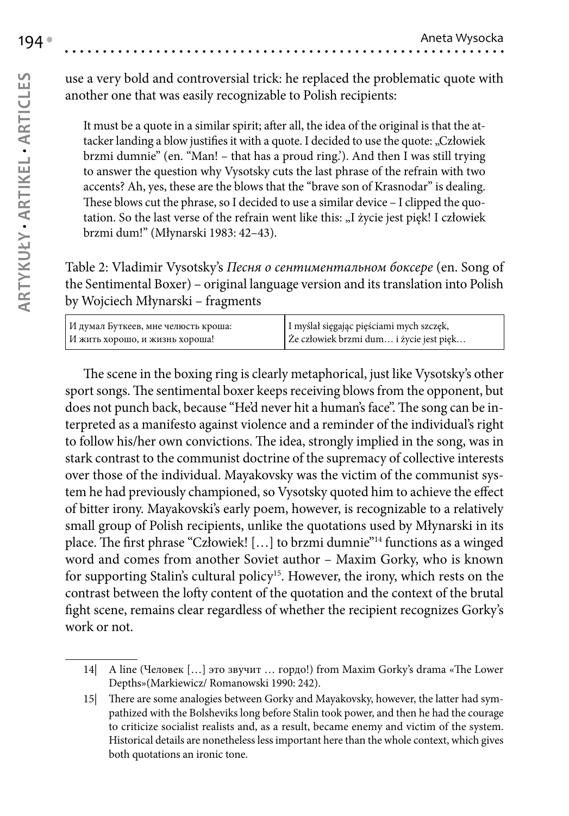use a very bold and controversial trick: he replaced the problematic quote with another one that was easily recognizable to Polish recipients:

It must be a quote in a similar spirit; after all, the idea of the original is that the attacker landing a blow justifies it with a quote. I decided to use the quote: "Człowiek brzmi dumnie" (en. "Man! – that has a proud ring.'). And then I was still trying to answer the question why Vysotsky cuts the last phrase of the refrain with two accents? Ah, yes, these are the blows that the "brave son of Krasnodar" is dealing. These blows cut the phrase, so I decided to use a similar device – I clipped the quotation. So the last verse of the refrain went like this: "I życie jest pięk! I człowiek brzmi dum!" (Młynarski 1983: 42–43).

Table 2: Vladimir Vysotsky's *Песня о сентиментальном боксере* (en. Song of the Sentimental Boxer) – original language version and its translation into Polish by Wojciech Młynarski – fragments

| И думал Буткеев, мне челюсть кроша: | I myślał sięgając pięściami mych szczęk, |
|-------------------------------------|------------------------------------------|
| И жить хорошо, и жизнь хороша!      | Ze człowiek brzmi dum i życie jest pięk  |

The scene in the boxing ring is clearly metaphorical, just like Vysotsky's other sport songs. The sentimental boxer keeps receiving blows from the opponent, but does not punch back, because "He'd never hit a human's face". The song can be interpreted as a manifesto against violence and a reminder of the individual's right to follow his/her own convictions. The idea, strongly implied in the song, was in stark contrast to the communist doctrine of the supremacy of collective interests over those of the individual. Mayakovsky was the victim of the communist system he had previously championed, so Vysotsky quoted him to achieve the effect of bitter irony. Mayakovski's early poem, however, is recognizable to a relatively small group of Polish recipients, unlike the quotations used by Młynarski in its place. The first phrase "Człowiek! […] to brzmi dumnie"14 functions as a winged word and comes from another Soviet author – Maxim Gorky, who is known for supporting Stalin's cultural policy<sup>15</sup>. However, the irony, which rests on the contrast between the lofty content of the quotation and the context of the brutal fight scene, remains clear regardless of whether the recipient recognizes Gorky's work or not.

<sup>14|</sup> A line (Человек […] это звучит … гордо!) from Maxim Gorky's drama «The Lower Depths»(Markiewicz/ Romanowski 1990: 242).

<sup>15|</sup> There are some analogies between Gorky and Mayakovsky, however, the latter had sympathized with the Bolsheviks long before Stalin took power, and then he had the courage to criticize socialist realists and, as a result, became enemy and victim of the system. Historical details are nonetheless less important here than the whole context, which gives both quotations an ironic tone.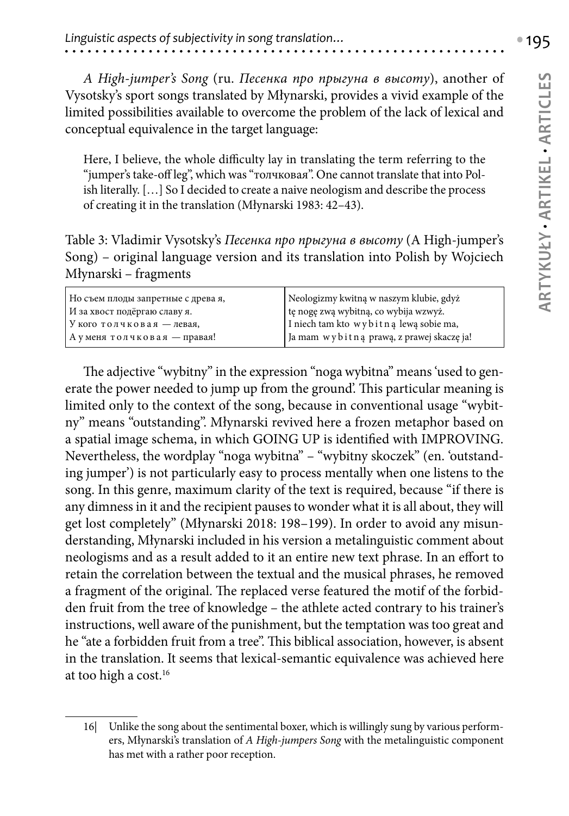*A High-jumper's Song* (ru. *Песенка про прыгуна в высоту*), another of Vysotsky's sport songs translated by Młynarski, provides a vivid example of the limited possibilities available to overcome the problem of the lack of lexical and conceptual equivalence in the target language:

Here, I believe, the whole difficulty lay in translating the term referring to the "jumper's take-off leg", which was "толчковая". One cannot translate that into Polish literally. […] So I decided to create a naive neologism and describe the process of creating it in the translation (Młynarski 1983: 42–43).

Table 3: Vladimir Vysotsky's *Песенка про прыгуна в высоту* (A High-jumper's Song) – original language version and its translation into Polish by Wojciech Młynarski – fragments

| Но съем плоды запретные с древа я, | Neologizmy kwitną w naszym klubie, gdyż   |
|------------------------------------|-------------------------------------------|
| И за хвост подёргаю славу я.       | tę nogę zwą wybitną, co wybija wzwyż.     |
| V кого толчковая — левая,          | I niech tam kto wybit na lewa sobie ma,   |
| Ауменя толчковая — правая!         | Ja mam wybitną prawą, z prawej skaczę ja! |

The adjective "wybitny" in the expression "noga wybitna" means 'used to generate the power needed to jump up from the ground'. This particular meaning is limited only to the context of the song, because in conventional usage "wybitny" means "outstanding". Młynarski revived here a frozen metaphor based on a spatial image schema, in which GOING UP is identified with IMPROVING. Nevertheless, the wordplay "noga wybitna" – "wybitny skoczek" (en. 'outstanding jumper') is not particularly easy to process mentally when one listens to the song. In this genre, maximum clarity of the text is required, because "if there is any dimness in it and the recipient pauses to wonder what it is all about, they will get lost completely" (Młynarski 2018: 198–199). In order to avoid any misunderstanding, Młynarski included in his version a metalinguistic comment about neologisms and as a result added to it an entire new text phrase. In an effort to retain the correlation between the textual and the musical phrases, he removed a fragment of the original. The replaced verse featured the motif of the forbidden fruit from the tree of knowledge – the athlete acted contrary to his trainer's instructions, well aware of the punishment, but the temptation was too great and he "ate a forbidden fruit from a tree". This biblical association, however, is absent in the translation. It seems that lexical-semantic equivalence was achieved here at too high a cost.16

<sup>16|</sup> Unlike the song about the sentimental boxer, which is willingly sung by various performers, Młynarski's translation of *A High-jumpers Song* with the metalinguistic component has met with a rather poor reception.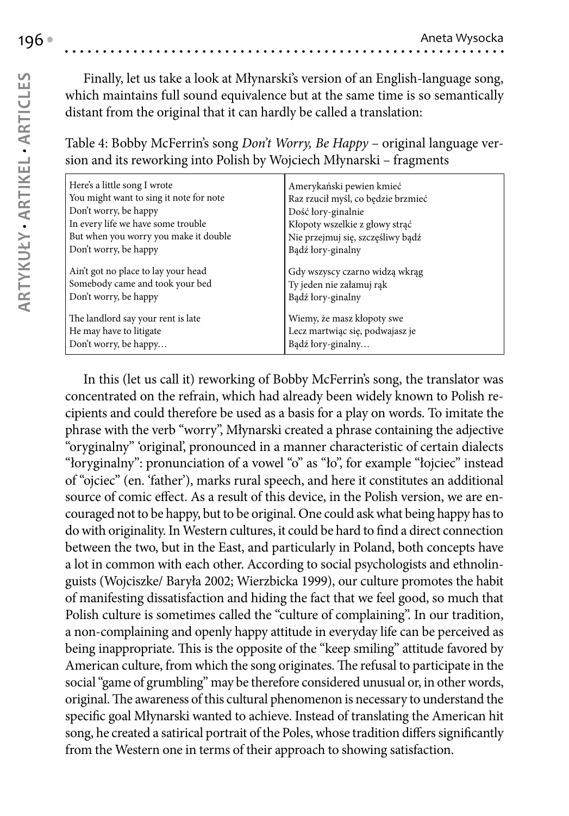Finally, let us take a look at Młynarski's version of an English-language song, which maintains full sound equivalence but at the same time is so semantically distant from the original that it can hardly be called a translation:

### Table 4: Bobby McFerrin's song *Don't Worry, Be Happy* – original language version and its reworking into Polish by Wojciech Młynarski – fragments

| Here's a little song I wrote            | Amerykański pewien kmieć           |
|-----------------------------------------|------------------------------------|
| You might want to sing it note for note | Raz rzucił myśl, co będzie brzmieć |
| Don't worry, be happy                   | Dość łory-ginalnie                 |
| In every life we have some trouble      | Kłopoty wszelkie z głowy strąć     |
| But when you worry you make it double   | Nie przejmuj się, szczęśliwy bądź  |
| Don't worry, be happy                   | Bądź łory-ginalny                  |
| Ain't got no place to lay your head     | Gdy wszyscy czarno widzą wkrąg     |
| Somebody came and took your bed         | Ty jeden nie załamuj rąk           |
| Don't worry, be happy                   | Bądź łory-ginalny                  |
| The landlord say your rent is late      | Wiemy, że masz kłopoty swe         |
| He may have to litigate                 | Lecz martwiąc się, podwajasz je    |
| Don't worry, be happy                   | Bądź łory-ginalny                  |

In this (let us call it) reworking of Bobby McFerrin's song, the translator was concentrated on the refrain, which had already been widely known to Polish recipients and could therefore be used as a basis for a play on words. To imitate the phrase with the verb "worry", Młynarski created a phrase containing the adjective "oryginalny" 'original', pronounced in a manner characteristic of certain dialects "łoryginalny": pronunciation of a vowel "o" as "ło", for example "łojciec" instead of "ojciec" (en. 'father'), marks rural speech, and here it constitutes an additional source of comic effect. As a result of this device, in the Polish version, we are encouraged not to be happy, but to be original. One could ask what being happy has to do with originality. In Western cultures, it could be hard to find a direct connection between the two, but in the East, and particularly in Poland, both concepts have a lot in common with each other. According to social psychologists and ethnolinguists (Wojciszke/ Baryła 2002; Wierzbicka 1999), our culture promotes the habit of manifesting dissatisfaction and hiding the fact that we feel good, so much that Polish culture is sometimes called the "culture of complaining". In our tradition, a non-complaining and openly happy attitude in everyday life can be perceived as being inappropriate. This is the opposite of the "keep smiling" attitude favored by American culture, from which the song originates. The refusal to participate in the social "game of grumbling" may be therefore considered unusual or, in other words, original. The awareness of this cultural phenomenon is necessary to understand the specific goal Młynarski wanted to achieve. Instead of translating the American hit song, he created a satirical portrait of the Poles, whose tradition differs significantly from the Western one in terms of their approach to showing satisfaction.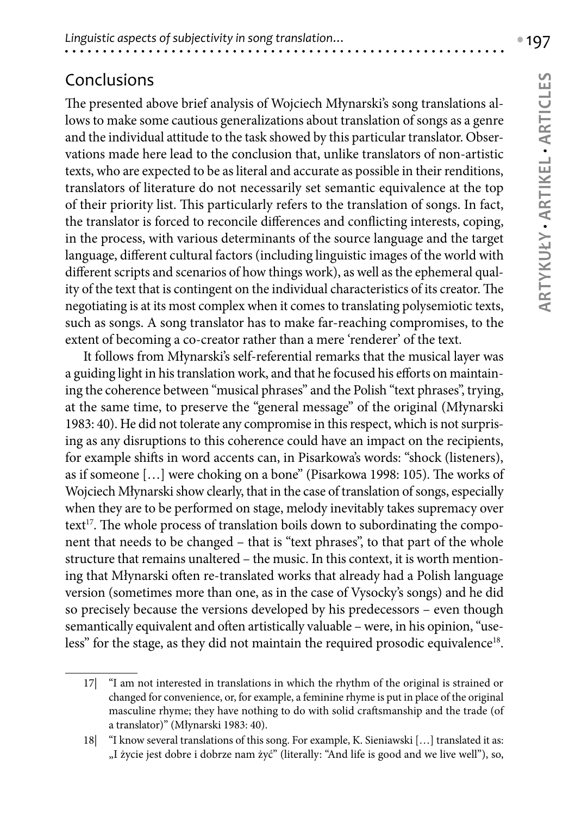## Conclusions

The presented above brief analysis of Wojciech Młynarski's song translations allows to make some cautious generalizations about translation of songs as a genre and the individual attitude to the task showed by this particular translator. Observations made here lead to the conclusion that, unlike translators of non-artistic texts, who are expected to be as literal and accurate as possible in their renditions, translators of literature do not necessarily set semantic equivalence at the top of their priority list. This particularly refers to the translation of songs. In fact, the translator is forced to reconcile differences and conflicting interests, coping, in the process, with various determinants of the source language and the target language, different cultural factors (including linguistic images of the world with different scripts and scenarios of how things work), as well as the ephemeral quality of the text that is contingent on the individual characteristics of its creator. The negotiating is at its most complex when it comes to translating polysemiotic texts, such as songs. A song translator has to make far-reaching compromises, to the extent of becoming a co-creator rather than a mere 'renderer' of the text.

It follows from Młynarski's self-referential remarks that the musical layer was a guiding light in his translation work, and that he focused his efforts on maintaining the coherence between "musical phrases" and the Polish "text phrases", trying, at the same time, to preserve the "general message" of the original (Młynarski 1983: 40). He did not tolerate any compromise in this respect, which is not surprising as any disruptions to this coherence could have an impact on the recipients, for example shifts in word accents can, in Pisarkowa's words: "shock (listeners), as if someone […] were choking on a bone" (Pisarkowa 1998: 105). The works of Wojciech Młynarski show clearly, that in the case of translation of songs, especially when they are to be performed on stage, melody inevitably takes supremacy over text<sup>17</sup>. The whole process of translation boils down to subordinating the component that needs to be changed – that is "text phrases", to that part of the whole structure that remains unaltered – the music. In this context, it is worth mentioning that Młynarski often re-translated works that already had a Polish language version (sometimes more than one, as in the case of Vysocky's songs) and he did so precisely because the versions developed by his predecessors – even though semantically equivalent and often artistically valuable – were, in his opinion, "useless" for the stage, as they did not maintain the required prosodic equivalence<sup>18</sup>.

<sup>17|</sup> "I am not interested in translations in which the rhythm of the original is strained or changed for convenience, or, for example, a feminine rhyme is put in place of the original masculine rhyme; they have nothing to do with solid craftsmanship and the trade (of a translator)" (Młynarski 1983: 40).

<sup>18|</sup> "I know several translations of this song. For example, K. Sieniawski […] translated it as: "I życie jest dobre i dobrze nam żyć" (literally: "And life is good and we live well"), so,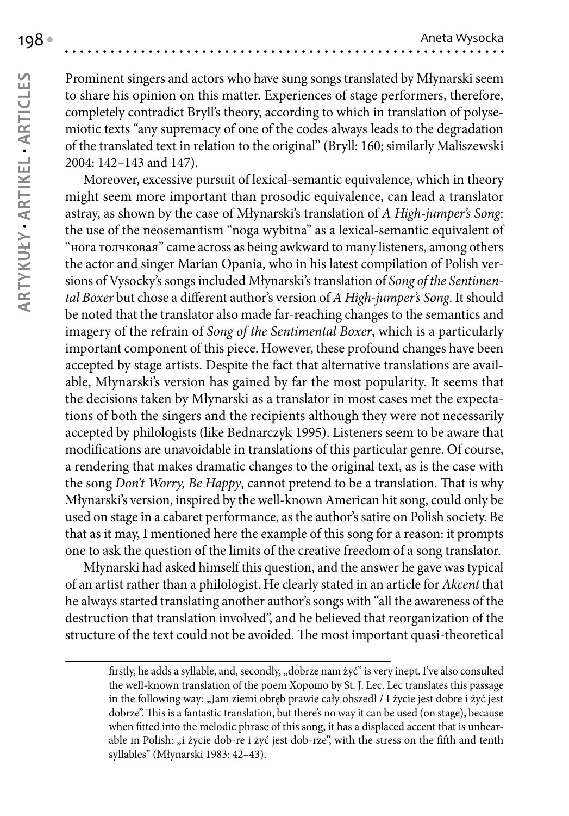Prominent singers and actors who have sung songs translated by Młynarski seem to share his opinion on this matter. Experiences of stage performers, therefore, completely contradict Bryll's theory, according to which in translation of polysemiotic texts "any supremacy of one of the codes always leads to the degradation of the translated text in relation to the original" (Bryll: 160; similarly Maliszewski 2004: 142–143 and 147).

Moreover, excessive pursuit of lexical-semantic equivalence, which in theory might seem more important than prosodic equivalence, can lead a translator astray, as shown by the case of Młynarski's translation of *A High-jumper's Song*: the use of the neosemantism "noga wybitna" as a lexical-semantic equivalent of "нога толчковая" came across as being awkward to many listeners, among others the actor and singer Marian Opania, who in his latest compilation of Polish versions of Vysocky's songs included Młynarski's translation of *Song of the Sentimental Boxer* but chose a different author's version of *A High-jumper's Song*. It should be noted that the translator also made far-reaching changes to the semantics and imagery of the refrain of *Song of the Sentimental Boxer*, which is a particularly important component of this piece. However, these profound changes have been accepted by stage artists. Despite the fact that alternative translations are available, Młynarski's version has gained by far the most popularity. It seems that the decisions taken by Młynarski as a translator in most cases met the expectations of both the singers and the recipients although they were not necessarily accepted by philologists (like Bednarczyk 1995). Listeners seem to be aware that modifications are unavoidable in translations of this particular genre. Of course, a rendering that makes dramatic changes to the original text, as is the case with the song *Don't Worry, Be Happy*, cannot pretend to be a translation. That is why Młynarski's version, inspired by the well-known American hit song, could only be used on stage in a cabaret performance, as the author's satire on Polish society. Be that as it may, I mentioned here the example of this song for a reason: it prompts one to ask the question of the limits of the creative freedom of a song translator.

Młynarski had asked himself this question, and the answer he gave was typical of an artist rather than a philologist. He clearly stated in an article for *Akcent* that he always started translating another author's songs with "all the awareness of the destruction that translation involved", and he believed that reorganization of the structure of the text could not be avoided. The most important quasi-theoretical

firstly, he adds a syllable, and, secondly, "dobrze nam żyć" is very inept. I've also consulted the well-known translation of the poem Хорошо by St. J. Lec. Lec translates this passage in the following way: "Jam ziemi obręb prawie cały obszedł / I życie jest dobre i żyć jest dobrze". This is a fantastic translation, but there's no way it can be used (on stage), because when fitted into the melodic phrase of this song, it has a displaced accent that is unbearable in Polish: "i życie dob-re i żyć jest dob-rze", with the stress on the fifth and tenth syllables" (Młynarski 1983: 42–43).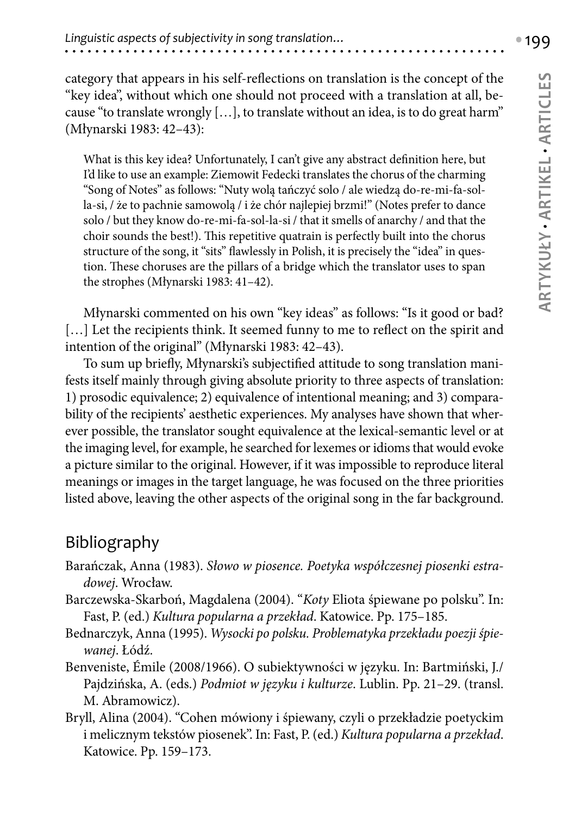category that appears in his self-reflections on translation is the concept of the "key idea", without which one should not proceed with a translation at all, because "to translate wrongly  $[\,\ldots\,]$ , to translate without an idea, is to do great harm" (Młynarski 1983: 42–43):

What is this key idea? Unfortunately, I can't give any abstract definition here, but I'd like to use an example: Ziemowit Fedecki translates the chorus of the charming "Song of Notes" as follows: "Nuty wolą tańczyć solo / ale wiedzą do-re-mi-fa-solla-si, / że to pachnie samowolą / i że chór najlepiej brzmi!" (Notes prefer to dance solo / but they know do-re-mi-fa-sol-la-si / that it smells of anarchy / and that the choir sounds the best!). This repetitive quatrain is perfectly built into the chorus structure of the song, it "sits" flawlessly in Polish, it is precisely the "idea" in question. These choruses are the pillars of a bridge which the translator uses to span the strophes (Młynarski 1983: 41–42).

Młynarski commented on his own "key ideas" as follows: "Is it good or bad? [...] Let the recipients think. It seemed funny to me to reflect on the spirit and intention of the original" (Młynarski 1983: 42–43).

To sum up briefly, Młynarski's subjectified attitude to song translation manifests itself mainly through giving absolute priority to three aspects of translation: 1) prosodic equivalence; 2) equivalence of intentional meaning; and 3) comparability of the recipients' aesthetic experiences. My analyses have shown that wherever possible, the translator sought equivalence at the lexical-semantic level or at the imaging level, for example, he searched for lexemes or idioms that would evoke a picture similar to the original. However, if it was impossible to reproduce literal meanings or images in the target language, he was focused on the three priorities listed above, leaving the other aspects of the original song in the far background.

## Bibliography

- Barańczak, Anna (1983). *Słowo w piosence. Poetyka współczesnej piosenki estradowej*. Wrocław.
- Barczewska-Skarboń, Magdalena (2004). "*Koty* Eliota śpiewane po polsku". In: Fast, P. (ed.) *Kultura popularna a przekład*. Katowice. Pp. 175–185.
- Bednarczyk, Anna (1995). *Wysocki po polsku. Problematyka przekładu poezji śpiewanej*. Łódź.
- Benveniste, Émile (2008/1966). O subiektywności w języku. In: Bartmiński, J./ Pajdzińska, A. (eds.) *Podmiot w języku i kulturze*. Lublin. Pp. 21–29. (transl. M. Abramowicz).
- Bryll, Alina (2004). "Cohen mówiony i śpiewany, czyli o przekładzie poetyckim i melicznym tekstów piosenek". In: Fast, P. (ed.) *Kultura popularna a przekład*. Katowice. Pp. 159–173.